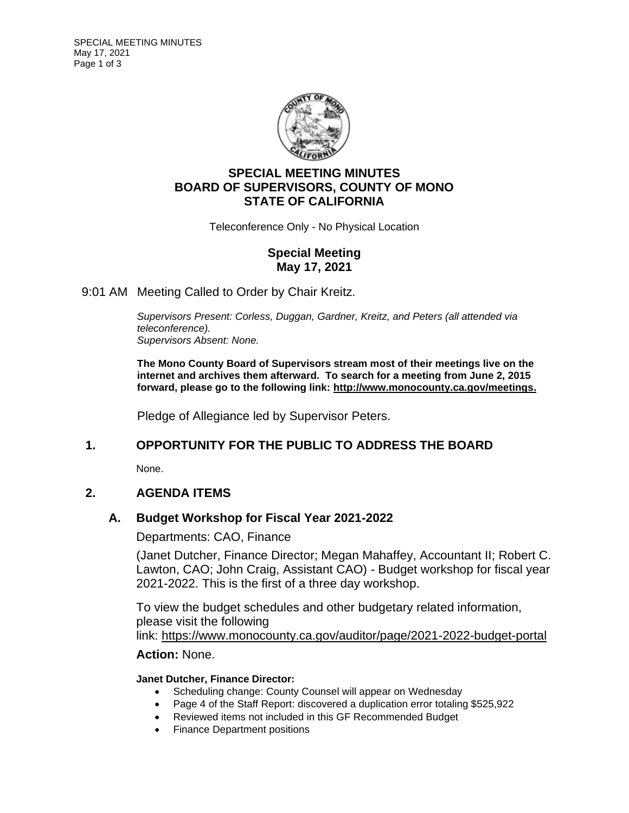

# **SPECIAL MEETING MINUTES BOARD OF SUPERVISORS, COUNTY OF MONO STATE OF CALIFORNIA**

Teleconference Only - No Physical Location

# **Special Meeting May 17, 2021**

9:01 AM Meeting Called to Order by Chair Kreitz.

*Supervisors Present: Corless, Duggan, Gardner, Kreitz, and Peters (all attended via teleconference). Supervisors Absent: None.*

**The Mono County Board of Supervisors stream most of their meetings live on the internet and archives them afterward. To search for a meeting from June 2, 2015 forward, please go to the following link: [http://www.monocounty.ca.gov/meetings.](http://www.monocounty.ca.gov/meetings)**

Pledge of Allegiance led by Supervisor Peters.

# **1. OPPORTUNITY FOR THE PUBLIC TO ADDRESS THE BOARD**

None.

# **2. AGENDA ITEMS**

### **A. [Budget Workshop for Fiscal Year 2021-2022](https://agenda.mono.ca.gov/AgendaWeb/CoverSheet.aspx?ItemID=13310&MeetingID=819)**

Departments: CAO, Finance

(Janet Dutcher, Finance Director; Megan Mahaffey, Accountant II; Robert C. Lawton, CAO; John Craig, Assistant CAO) - Budget workshop for fiscal year 2021-2022. This is the first of a three day workshop.

To view the budget schedules and other budgetary related information, please visit the following link: <https://www.monocounty.ca.gov/auditor/page/2021-2022-budget-portal>

### **Action:** None.

### **Janet Dutcher, Finance Director:**

- Scheduling change: County Counsel will appear on Wednesday
- Page 4 of the Staff Report: discovered a duplication error totaling \$525,922
- Reviewed items not included in this GF Recommended Budget
- Finance Department positions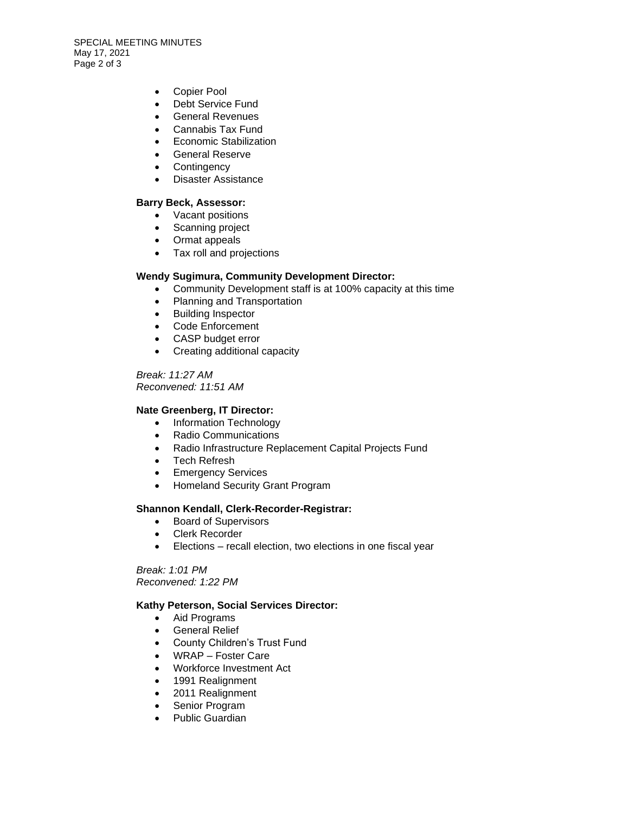SPECIAL MEETING MINUTES May 17, 2021 Page 2 of 3

- Copier Pool
- Debt Service Fund
- General Revenues
- Cannabis Tax Fund
- Economic Stabilization
- General Reserve
- Contingency
- Disaster Assistance

#### **Barry Beck, Assessor:**

- Vacant positions
- Scanning project
- Ormat appeals
- Tax roll and projections

#### **Wendy Sugimura, Community Development Director:**

- Community Development staff is at 100% capacity at this time
- Planning and Transportation
- Building Inspector
- Code Enforcement
- CASP budget error
- Creating additional capacity

*Break: 11:27 AM Reconvened: 11:51 AM*

#### **Nate Greenberg, IT Director:**

- Information Technology
- Radio Communications
- Radio Infrastructure Replacement Capital Projects Fund
- Tech Refresh
- Emergency Services
- Homeland Security Grant Program

#### **Shannon Kendall, Clerk-Recorder-Registrar:**

- Board of Supervisors
- Clerk Recorder
- Elections recall election, two elections in one fiscal year

*Break: 1:01 PM Reconvened: 1:22 PM*

#### **Kathy Peterson, Social Services Director:**

- Aid Programs
- General Relief
- County Children's Trust Fund
- WRAP Foster Care
- Workforce Investment Act
- 1991 Realignment
- 2011 Realignment
- Senior Program
- Public Guardian